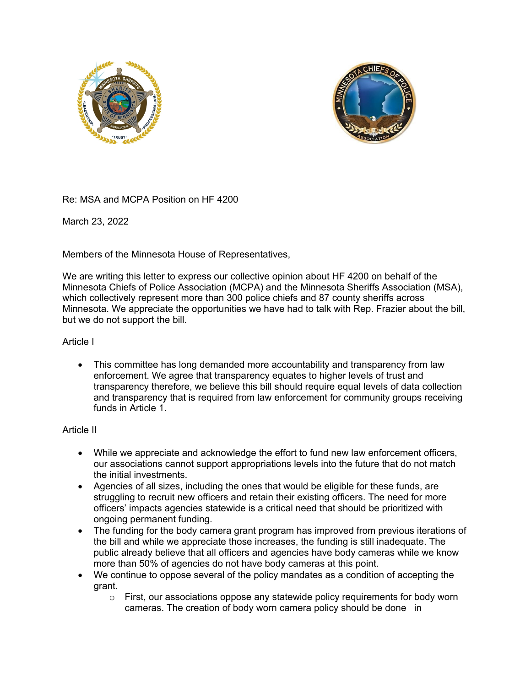



Re: MSA and MCPA Position on HF 4200

March 23, 2022

Members of the Minnesota House of Representatives,

We are writing this letter to express our collective opinion about HF 4200 on behalf of the Minnesota Chiefs of Police Association (MCPA) and the Minnesota Sheriffs Association (MSA), which collectively represent more than 300 police chiefs and 87 county sheriffs across Minnesota. We appreciate the opportunities we have had to talk with Rep. Frazier about the bill, but we do not support the bill.

## Article I

 This committee has long demanded more accountability and transparency from law enforcement. We agree that transparency equates to higher levels of trust and transparency therefore, we believe this bill should require equal levels of data collection and transparency that is required from law enforcement for community groups receiving funds in Article 1.

## Article II

- While we appreciate and acknowledge the effort to fund new law enforcement officers, our associations cannot support appropriations levels into the future that do not match the initial investments.
- Agencies of all sizes, including the ones that would be eligible for these funds, are struggling to recruit new officers and retain their existing officers. The need for more officers' impacts agencies statewide is a critical need that should be prioritized with ongoing permanent funding.
- The funding for the body camera grant program has improved from previous iterations of the bill and while we appreciate those increases, the funding is still inadequate. The public already believe that all officers and agencies have body cameras while we know more than 50% of agencies do not have body cameras at this point.
- We continue to oppose several of the policy mandates as a condition of accepting the grant.
	- $\circ$  First, our associations oppose any statewide policy requirements for body worn cameras. The creation of body worn camera policy should be done in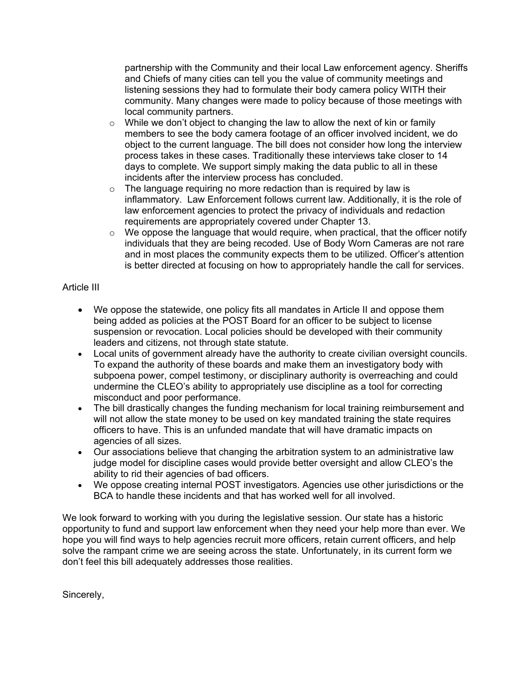partnership with the Community and their local Law enforcement agency. Sheriffs and Chiefs of many cities can tell you the value of community meetings and listening sessions they had to formulate their body camera policy WITH their community. Many changes were made to policy because of those meetings with local community partners.

- $\circ$  While we don't object to changing the law to allow the next of kin or family members to see the body camera footage of an officer involved incident, we do object to the current language. The bill does not consider how long the interview process takes in these cases. Traditionally these interviews take closer to 14 days to complete. We support simply making the data public to all in these incidents after the interview process has concluded.
- $\circ$  The language requiring no more redaction than is required by law is inflammatory. Law Enforcement follows current law. Additionally, it is the role of law enforcement agencies to protect the privacy of individuals and redaction requirements are appropriately covered under Chapter 13.
- $\circ$  We oppose the language that would require, when practical, that the officer notify individuals that they are being recoded. Use of Body Worn Cameras are not rare and in most places the community expects them to be utilized. Officer's attention is better directed at focusing on how to appropriately handle the call for services.

## Article III

- We oppose the statewide, one policy fits all mandates in Article II and oppose them being added as policies at the POST Board for an officer to be subject to license suspension or revocation. Local policies should be developed with their community leaders and citizens, not through state statute.
- Local units of government already have the authority to create civilian oversight councils. To expand the authority of these boards and make them an investigatory body with subpoena power, compel testimony, or disciplinary authority is overreaching and could undermine the CLEO's ability to appropriately use discipline as a tool for correcting misconduct and poor performance.
- The bill drastically changes the funding mechanism for local training reimbursement and will not allow the state money to be used on key mandated training the state requires officers to have. This is an unfunded mandate that will have dramatic impacts on agencies of all sizes.
- Our associations believe that changing the arbitration system to an administrative law judge model for discipline cases would provide better oversight and allow CLEO's the ability to rid their agencies of bad officers.
- We oppose creating internal POST investigators. Agencies use other jurisdictions or the BCA to handle these incidents and that has worked well for all involved.

We look forward to working with you during the legislative session. Our state has a historic opportunity to fund and support law enforcement when they need your help more than ever. We hope you will find ways to help agencies recruit more officers, retain current officers, and help solve the rampant crime we are seeing across the state. Unfortunately, in its current form we don't feel this bill adequately addresses those realities.

Sincerely,